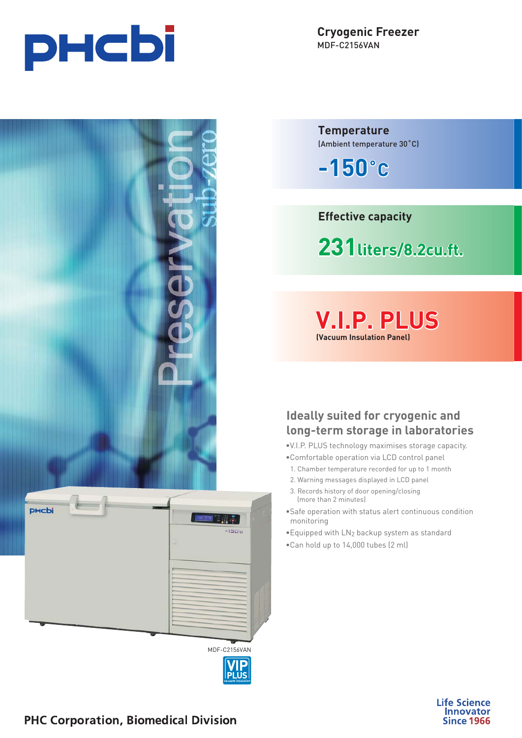

**Cryogenic Freezer** MDF-C2156VAN **Temperature**



| <b>PHCbi</b><br>W. |                                                     |
|--------------------|-----------------------------------------------------|
|                    | <b>SER</b>                                          |
|                    | $-150°$                                             |
|                    | $\label{eq:3} \begin{pmatrix} \Delta \end{pmatrix}$ |
|                    |                                                     |
|                    |                                                     |
|                    |                                                     |
|                    |                                                     |
|                    |                                                     |
|                    |                                                     |
|                    |                                                     |
|                    |                                                     |
|                    | MDF-C2156VAN                                        |
|                    | $ \vec{P}$                                          |

(Ambient temperature 30˚C)

**-150˚C**

**Effective capacity**

**231liters/8.2cu.ft. liters/8.2cu.ft.iters/8.2cu.ft.**

**V.I.P. PLUS .I.P. (Vacuum Insulation Panel)**

# **Ideally suited for cryogenic and long-term storage in laboratories**

- •V.I.P. PLUS technology maximises storage capacity.
- •Comfortable operation via LCD control panel
- 1. Chamber temperature recorded for up to 1 month
- 2. Warning messages displayed in LCD panel
- 3. Records history of door opening/closing (more than 2 minutes)
- •Safe operation with status alert continuous condition monitoring
- •Equipped with LN2 backup system as standard
- •Can hold up to 14,000 tubes (2 ml)



**PHC Corporation, Biomedical Division**